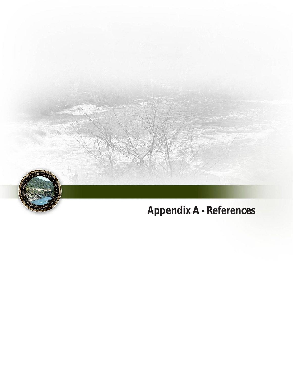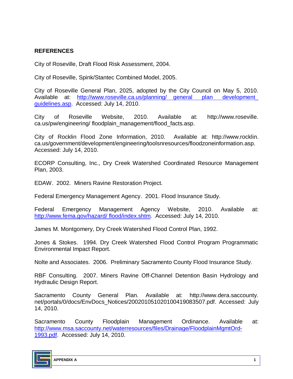## **REFERENCES**

City of Roseville, Draft Flood Risk Assessment, 2004.

City of Roseville, Spink/Stantec Combined Model, 2005.

City of Roseville General Plan, 2025, adopted by the City Council on May 5, 2010. Available at: http://www.roseville.ca.us/planning/ general plan development [guidelines.asp.](http://www.roseville.ca.us/planning/ general_ plan_ development_ guidelines.asp) Accessed: July 14, 2010.

City of Roseville Website, 2010. Available at: http://www.roseville. ca.us/pw/engineering/ floodplain\_management/flood\_facts.asp.

City of Rocklin Flood Zone Information, 2010. Available at: http://www.rocklin. ca.us/government/development/engineering/toolsnresources/floodzoneinformation.asp. Accessed: July 14, 2010.

ECORP Consulting, Inc., Dry Creek Watershed Coordinated Resource Management Plan, 2003.

EDAW. 2002. Miners Ravine Restoration Project.

Federal Emergency Management Agency. 2001. Flood Insurance Study.

Federal Emergency Management Agency Website, 2010. Available at: [http://www.fema.gov/hazard/ flood/index.shtm.](http://www.fema.gov/hazard/ flood/index.shtm) Accessed: July 14, 2010.

James M. Montgomery, Dry Creek Watershed Flood Control Plan, 1992.

Jones & Stokes. 1994. Dry Creek Watershed Flood Control Program Programmatic Environmental Impact Report.

Nolte and Associates. 2006. Preliminary Sacramento County Flood Insurance Study.

RBF Consulting. 2007. Miners Ravine Off-Channel Detention Basin Hydrology and Hydraulic Design Report.

Sacramento County General Plan. Available at: http://www.dera.saccounty. net/portals/0/docs/EnvDocs\_Notices/200201051020100419083507.pdf. Accessed: July 14, 2010.

Sacramento County Floodplain Management Ordinance. Available at: [http://www.msa.saccounty.net/waterresources/files/Drainage/FloodplainMgmtOrd-](http://www.msa.saccounty.net/waterresources/files/Drainage/FloodplainMgmtOrd-1993.pdf)[1993.pdf.](http://www.msa.saccounty.net/waterresources/files/Drainage/FloodplainMgmtOrd-1993.pdf) Accessed: July 14, 2010.